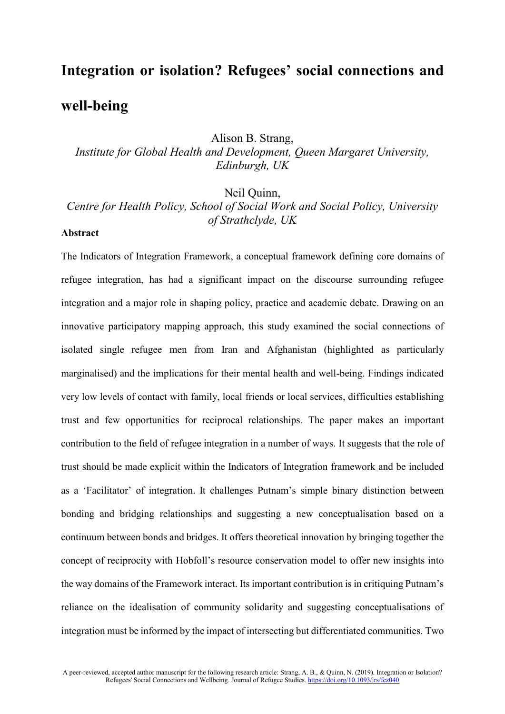# **Integration or isolation? Refugees' social connections and well-being**

Alison B. Strang,

*Institute for Global Health and Development, Queen Margaret University, Edinburgh, UK*

Neil Quinn,

*Centre for Health Policy, School of Social Work and Social Policy, University of Strathclyde, UK*

### **Abstract**

The Indicators of Integration Framework, a conceptual framework defining core domains of refugee integration, has had a significant impact on the discourse surrounding refugee integration and a major role in shaping policy, practice and academic debate. Drawing on an innovative participatory mapping approach, this study examined the social connections of isolated single refugee men from Iran and Afghanistan (highlighted as particularly marginalised) and the implications for their mental health and well-being. Findings indicated very low levels of contact with family, local friends or local services, difficulties establishing trust and few opportunities for reciprocal relationships. The paper makes an important contribution to the field of refugee integration in a number of ways. It suggests that the role of trust should be made explicit within the Indicators of Integration framework and be included as a 'Facilitator' of integration. It challenges Putnam's simple binary distinction between bonding and bridging relationships and suggesting a new conceptualisation based on a continuum between bonds and bridges. It offers theoretical innovation by bringing together the concept of reciprocity with Hobfoll's resource conservation model to offer new insights into the way domains of the Framework interact. Its important contribution is in critiquing Putnam's reliance on the idealisation of community solidarity and suggesting conceptualisations of integration must be informed by the impact of intersecting but differentiated communities. Two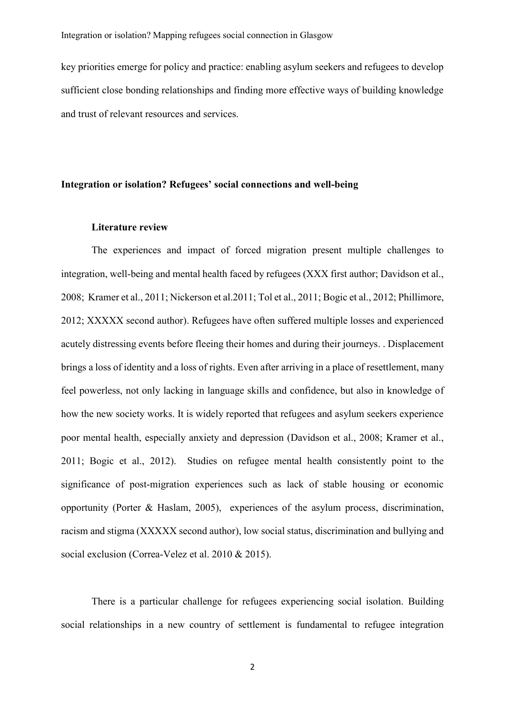key priorities emerge for policy and practice: enabling asylum seekers and refugees to develop sufficient close bonding relationships and finding more effective ways of building knowledge and trust of relevant resources and services.

# **Integration or isolation? Refugees' social connections and well-being**

#### **Literature review**

The experiences and impact of forced migration present multiple challenges to integration, well-being and mental health faced by refugees (XXX first author; Davidson et al., 2008[; Kramer](http://www.cmaj.ca/search?author1=Laurence+J.+Kirmayer&sortspec=date&submit=Submit) et al., 2011; Nickerson et al.2011; Tol et al., 2011; Bogic et al., 2012; Phillimore, 2012; XXXXX second author). Refugees have often suffered multiple losses and experienced acutely distressing events before fleeing their homes and during their journeys. . Displacement brings a loss of identity and a loss of rights. Even after arriving in a place of resettlement, many feel powerless, not only lacking in language skills and confidence, but also in knowledge of how the new society works. It is widely reported that refugees and asylum seekers experience poor mental health, especially anxiety and depression (Davidson et al., 2008; Kramer et al., 2011; Bogic et al., 2012). Studies on refugee mental health consistently point to the significance of post-migration experiences such as lack of stable housing or economic opportunity (Porter & Haslam, 2005), experiences of the asylum process, discrimination, racism and stigma (XXXXX second author), low social status, discrimination and bullying and social exclusion (Correa-Velez et al. 2010 & 2015).

There is a particular challenge for refugees experiencing social isolation. Building social relationships in a new country of settlement is fundamental to refugee integration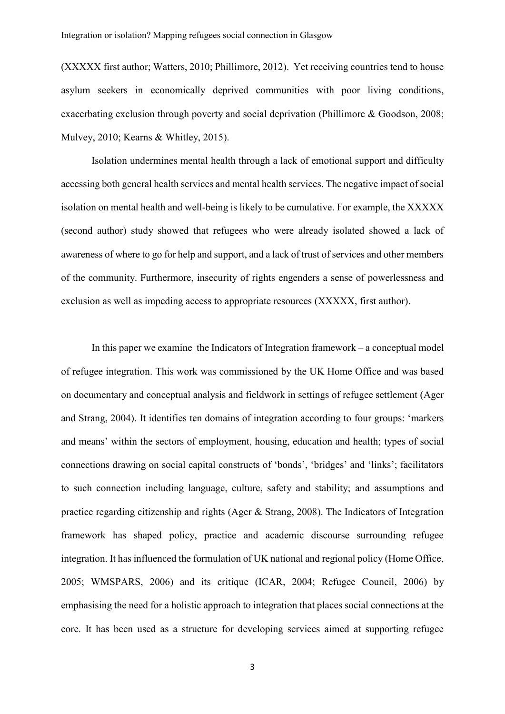(XXXXX first author; Watters, 2010; Phillimore, 2012). Yet receiving countries tend to house asylum seekers in economically deprived communities with poor living conditions, exacerbating exclusion through poverty and social deprivation (Phillimore & Goodson, 2008; Mulvey, 2010; Kearns & Whitley, 2015).

Isolation undermines mental health through a lack of emotional support and difficulty accessing both general health services and mental health services. The negative impact of social isolation on mental health and well-being is likely to be cumulative. For example, the XXXXX (second author) study showed that refugees who were already isolated showed a lack of awareness of where to go for help and support, and a lack of trust of services and other members of the community. Furthermore, insecurity of rights engenders a sense of powerlessness and exclusion as well as impeding access to appropriate resources (XXXXX, first author).

In this paper we examine the Indicators of Integration framework – a conceptual model of refugee integration. This work was commissioned by the UK Home Office and was based on documentary and conceptual analysis and fieldwork in settings of refugee settlement (Ager and Strang, 2004). It identifies ten domains of integration according to four groups: 'markers and means' within the sectors of employment, housing, education and health; types of social connections drawing on social capital constructs of 'bonds', 'bridges' and 'links'; facilitators to such connection including language, culture, safety and stability; and assumptions and practice regarding citizenship and rights (Ager & Strang, 2008). The Indicators of Integration framework has shaped policy, practice and academic discourse surrounding refugee integration. It has influenced the formulation of UK national and regional policy (Home Office, 2005; WMSPARS, 2006) and its critique (ICAR, 2004; Refugee Council, 2006) by emphasising the need for a holistic approach to integration that places social connections at the core. It has been used as a structure for developing services aimed at supporting refugee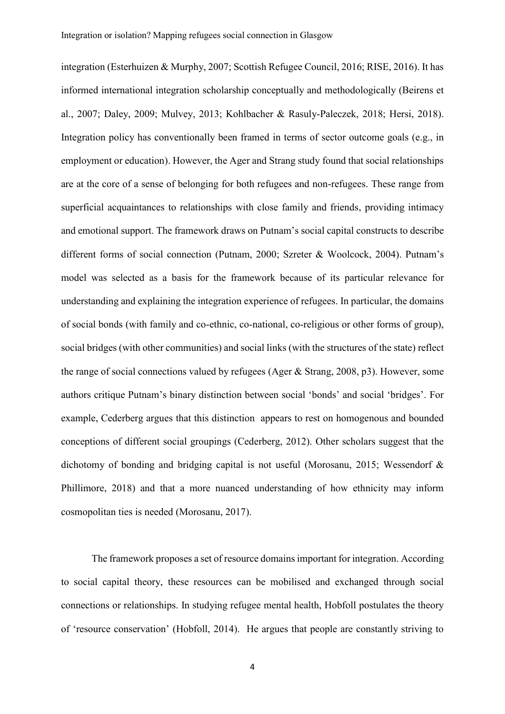integration (Esterhuizen & Murphy, 2007; Scottish Refugee Council, 2016; RISE, 2016). It has informed international integration scholarship conceptually and methodologically (Beirens et al., 2007; Daley, 2009; Mulvey, 2013; Kohlbacher & Rasuly-Paleczek, 2018; Hersi, 2018). Integration policy has conventionally been framed in terms of sector outcome goals (e.g., in employment or education). However, the Ager and Strang study found that social relationships are at the core of a sense of belonging for both refugees and non-refugees. These range from superficial acquaintances to relationships with close family and friends, providing intimacy and emotional support. The framework draws on Putnam's social capital constructs to describe different forms of social connection (Putnam, 2000; Szreter & Woolcock, 2004). Putnam's model was selected as a basis for the framework because of its particular relevance for understanding and explaining the integration experience of refugees. In particular, the domains of social bonds (with family and co-ethnic, co-national, co-religious or other forms of group), social bridges (with other communities) and social links (with the structures of the state) reflect the range of social connections valued by refugees (Ager & Strang, 2008, p3). However, some authors critique Putnam's binary distinction between social 'bonds' and social 'bridges'. For example, Cederberg argues that this distinction appears to rest on homogenous and bounded conceptions of different social groupings (Cederberg, 2012). Other scholars suggest that the dichotomy of bonding and bridging capital is not useful (Morosanu, 2015; Wessendorf & Phillimore, 2018) and that a more nuanced understanding of how ethnicity may inform cosmopolitan ties is needed (Morosanu, 2017).

The framework proposes a set of resource domains important for integration. According to social capital theory, these resources can be mobilised and exchanged through social connections or relationships. In studying refugee mental health, Hobfoll postulates the theory of 'resource conservation' (Hobfoll, 2014). He argues that people are constantly striving to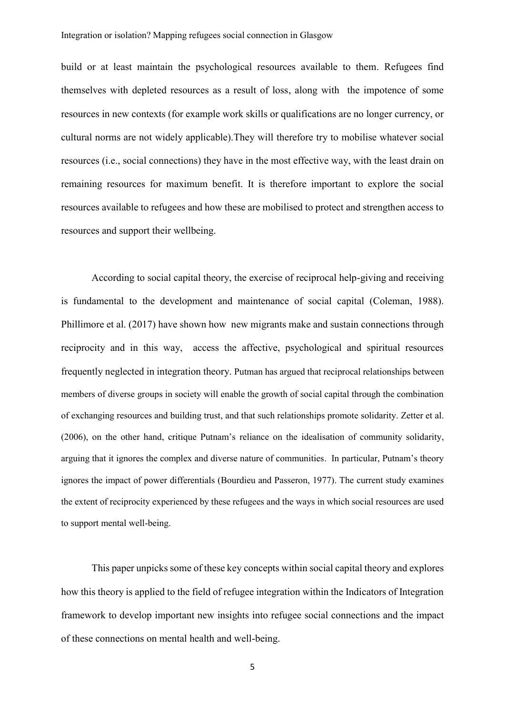build or at least maintain the psychological resources available to them. Refugees find themselves with depleted resources as a result of loss, along with the impotence of some resources in new contexts (for example work skills or qualifications are no longer currency, or cultural norms are not widely applicable).They will therefore try to mobilise whatever social resources (i.e., social connections) they have in the most effective way, with the least drain on remaining resources for maximum benefit. It is therefore important to explore the social resources available to refugees and how these are mobilised to protect and strengthen access to resources and support their wellbeing.

According to social capital theory, the exercise of reciprocal help-giving and receiving is fundamental to the development and maintenance of social capital (Coleman, 1988). Phillimore et al. (2017) have shown how new migrants make and sustain connections through reciprocity and in this way, access the affective, psychological and spiritual resources frequently neglected in integration theory. Putman has argued that reciprocal relationships between members of diverse groups in society will enable the growth of social capital through the combination of exchanging resources and building trust, and that such relationships promote solidarity. Zetter et al. (2006), on the other hand, critique Putnam's reliance on the idealisation of community solidarity, arguing that it ignores the complex and diverse nature of communities. In particular, Putnam's theory ignores the impact of power differentials (Bourdieu and Passeron, 1977). The current study examines the extent of reciprocity experienced by these refugees and the ways in which social resources are used to support mental well-being.

This paper unpicks some of these key concepts within social capital theory and explores how this theory is applied to the field of refugee integration within the Indicators of Integration framework to develop important new insights into refugee social connections and the impact of these connections on mental health and well-being.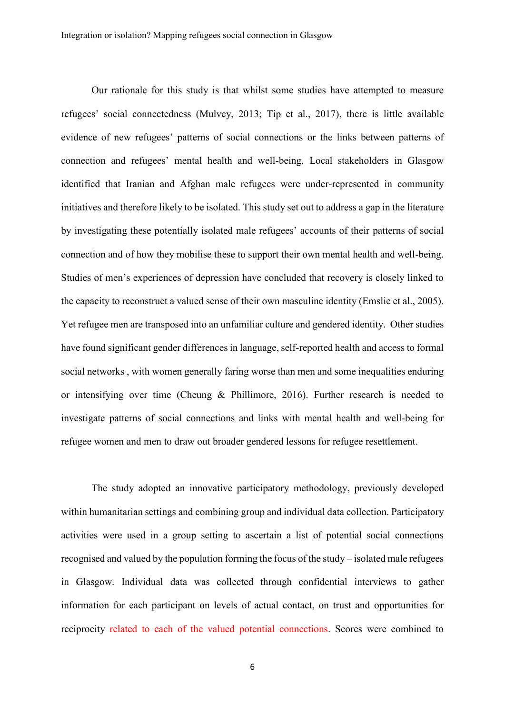Our rationale for this study is that whilst some studies have attempted to measure refugees' social connectedness (Mulvey, 2013; Tip et al., 2017), there is little available evidence of new refugees' patterns of social connections or the links between patterns of connection and refugees' mental health and well-being. Local stakeholders in Glasgow identified that Iranian and Afghan male refugees were under-represented in community initiatives and therefore likely to be isolated. This study set out to address a gap in the literature by investigating these potentially isolated male refugees' accounts of their patterns of social connection and of how they mobilise these to support their own mental health and well-being. Studies of men's experiences of depression have concluded that recovery is closely linked to the capacity to reconstruct a valued sense of their own masculine identity (Emslie et al., 2005). Yet refugee men are transposed into an unfamiliar culture and gendered identity. Other studies have found significant gender differences in language, self-reported health and access to formal social networks , with women generally faring worse than men and some inequalities enduring or intensifying over time (Cheung & Phillimore, 2016). Further research is needed to investigate patterns of social connections and links with mental health and well-being for refugee women and men to draw out broader gendered lessons for refugee resettlement.

The study adopted an innovative participatory methodology, previously developed within humanitarian settings and combining group and individual data collection. Participatory activities were used in a group setting to ascertain a list of potential social connections recognised and valued by the population forming the focus of the study – isolated male refugees in Glasgow. Individual data was collected through confidential interviews to gather information for each participant on levels of actual contact, on trust and opportunities for reciprocity related to each of the valued potential connections. Scores were combined to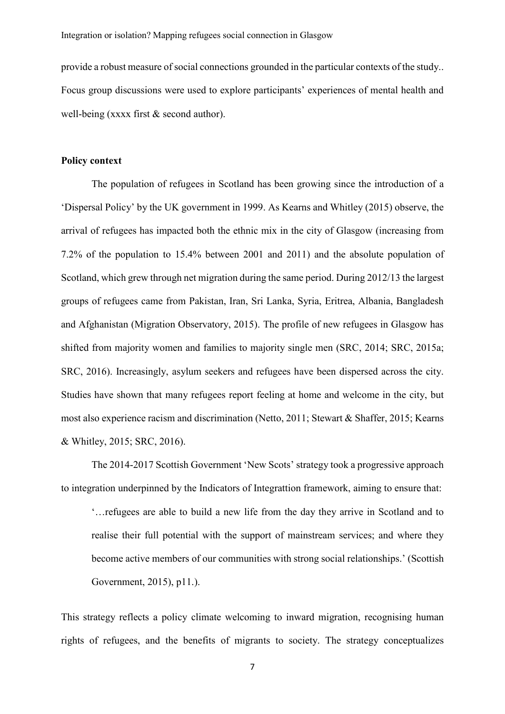provide a robust measure of social connections grounded in the particular contexts of the study.. Focus group discussions were used to explore participants' experiences of mental health and well-being (xxxx first & second author).

#### **Policy context**

The population of refugees in Scotland has been growing since the introduction of a 'Dispersal Policy' by the UK government in 1999. As Kearns and Whitley (2015) observe, the arrival of refugees has impacted both the ethnic mix in the city of Glasgow (increasing from 7.2% of the population to 15.4% between 2001 and 2011) and the absolute population of Scotland, which grew through net migration during the same period. During 2012/13 the largest groups of refugees came from Pakistan, Iran, Sri Lanka, Syria, Eritrea, Albania, Bangladesh and Afghanistan (Migration Observatory, 2015). The profile of new refugees in Glasgow has shifted from majority women and families to majority single men (SRC, 2014; SRC, 2015a; SRC, 2016). Increasingly, asylum seekers and refugees have been dispersed across the city. Studies have shown that many refugees report feeling at home and welcome in the city, but most also experience racism and discrimination (Netto, 2011; Stewart & Shaffer, 2015; Kearns & Whitley, 2015; SRC, 2016).

The 2014-2017 Scottish Government 'New Scots' strategy took a progressive approach to integration underpinned by the Indicators of Integrattion framework, aiming to ensure that:

'…refugees are able to build a new life from the day they arrive in Scotland and to realise their full potential with the support of mainstream services; and where they become active members of our communities with strong social relationships.' (Scottish Government, 2015), p11.).

This strategy reflects a policy climate welcoming to inward migration, recognising human rights of refugees, and the benefits of migrants to society. The strategy conceptualizes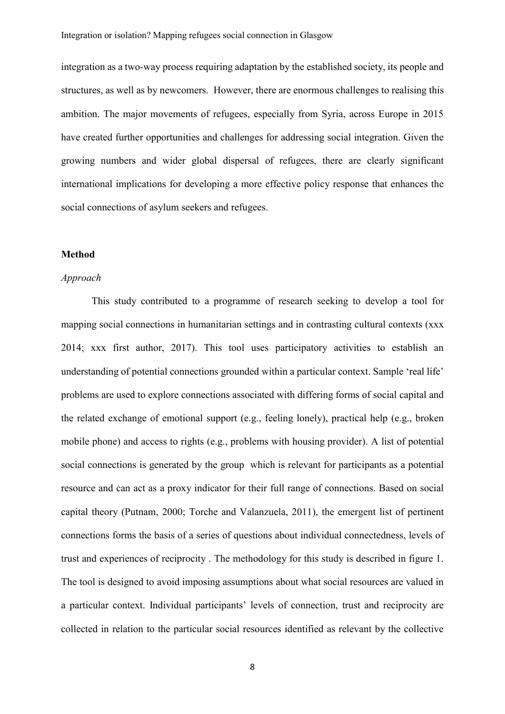integration as a two-way process requiring adaptation by the established society, its people and structures, as well as by newcomers. However, there are enormous challenges to realising this ambition. The major movements of refugees, especially from Syria, across Europe in 2015 have created further opportunities and challenges for addressing social integration. Given the growing numbers and wider global dispersal of refugees, there are clearly significant international implications for developing a more effective policy response that enhances the social connections of asylum seekers and refugees.

# **Method**

#### *Approach*

This study contributed to a programme of research seeking to develop a tool for mapping social connections in humanitarian settings and in contrasting cultural contexts (xxx 2014; xxx first author, 2017). This tool uses participatory activities to establish an understanding of potential connections grounded within a particular context. Sample 'real life' problems are used to explore connections associated with differing forms of social capital and the related exchange of emotional support (e.g., feeling lonely), practical help (e.g., broken mobile phone) and access to rights (e.g., problems with housing provider). A list of potential social connections is generated by the group which is relevant for participants as a potential resource and can act as a proxy indicator for their full range of connections. Based on social capital theory (Putnam, 2000; Torche and Valanzuela, 2011), the emergent list of pertinent connections forms the basis of a series of questions about individual connectedness, levels of trust and experiences of reciprocity . The methodology for this study is described in figure 1. The tool is designed to avoid imposing assumptions about what social resources are valued in a particular context. Individual participants' levels of connection, trust and reciprocity are collected in relation to the particular social resources identified as relevant by the collective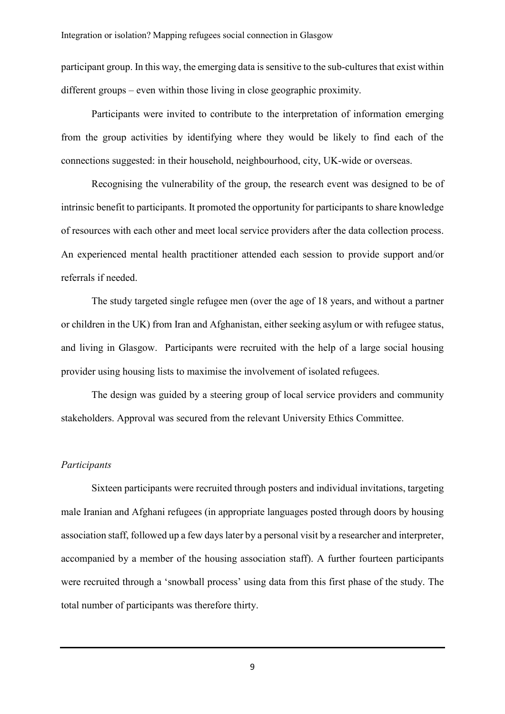participant group. In this way, the emerging data is sensitive to the sub-cultures that exist within different groups – even within those living in close geographic proximity.

Participants were invited to contribute to the interpretation of information emerging from the group activities by identifying where they would be likely to find each of the connections suggested: in their household, neighbourhood, city, UK-wide or overseas.

Recognising the vulnerability of the group, the research event was designed to be of intrinsic benefit to participants. It promoted the opportunity for participants to share knowledge of resources with each other and meet local service providers after the data collection process. An experienced mental health practitioner attended each session to provide support and/or referrals if needed.

The study targeted single refugee men (over the age of 18 years, and without a partner or children in the UK) from Iran and Afghanistan, either seeking asylum or with refugee status, and living in Glasgow. Participants were recruited with the help of a large social housing provider using housing lists to maximise the involvement of isolated refugees.

The design was guided by a steering group of local service providers and community stakeholders. Approval was secured from the relevant University Ethics Committee.

# *Participants*

Sixteen participants were recruited through posters and individual invitations, targeting male Iranian and Afghani refugees (in appropriate languages posted through doors by housing association staff, followed up a few days later by a personal visit by a researcher and interpreter, accompanied by a member of the housing association staff). A further fourteen participants were recruited through a 'snowball process' using data from this first phase of the study. The total number of participants was therefore thirty.

9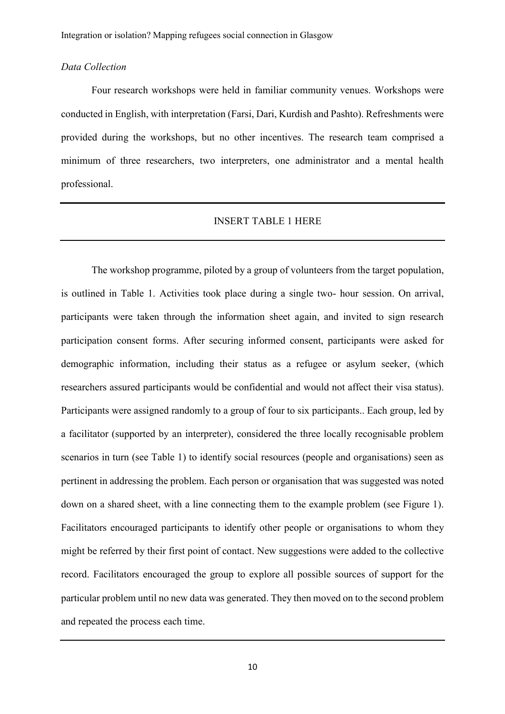#### *Data Collection*

Four research workshops were held in familiar community venues. Workshops were conducted in English, with interpretation (Farsi, Dari, Kurdish and Pashto). Refreshments were provided during the workshops, but no other incentives. The research team comprised a minimum of three researchers, two interpreters, one administrator and a mental health professional.

#### INSERT TABLE 1 HERE

The workshop programme, piloted by a group of volunteers from the target population, is outlined in Table 1. Activities took place during a single two- hour session. On arrival, participants were taken through the information sheet again, and invited to sign research participation consent forms. After securing informed consent, participants were asked for demographic information, including their status as a refugee or asylum seeker, (which researchers assured participants would be confidential and would not affect their visa status). Participants were assigned randomly to a group of four to six participants.. Each group, led by a facilitator (supported by an interpreter), considered the three locally recognisable problem scenarios in turn (see Table 1) to identify social resources (people and organisations) seen as pertinent in addressing the problem. Each person or organisation that was suggested was noted down on a shared sheet, with a line connecting them to the example problem (see Figure 1). Facilitators encouraged participants to identify other people or organisations to whom they might be referred by their first point of contact. New suggestions were added to the collective record. Facilitators encouraged the group to explore all possible sources of support for the particular problem until no new data was generated. They then moved on to the second problem and repeated the process each time.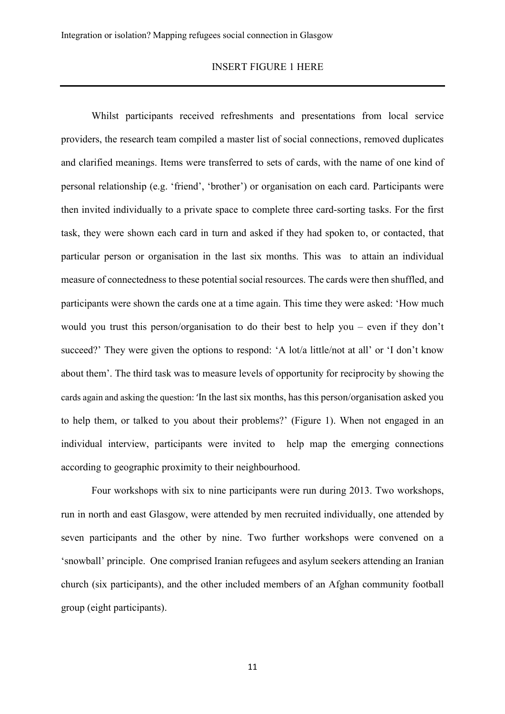#### INSERT FIGURE 1 HERE

Whilst participants received refreshments and presentations from local service providers, the research team compiled a master list of social connections, removed duplicates and clarified meanings. Items were transferred to sets of cards, with the name of one kind of personal relationship (e.g. 'friend', 'brother') or organisation on each card. Participants were then invited individually to a private space to complete three card-sorting tasks. For the first task, they were shown each card in turn and asked if they had spoken to, or contacted, that particular person or organisation in the last six months. This was to attain an individual measure of connectedness to these potential social resources. The cards were then shuffled, and participants were shown the cards one at a time again. This time they were asked: 'How much would you trust this person/organisation to do their best to help you – even if they don't succeed?' They were given the options to respond: 'A lot/a little/not at all' or 'I don't know about them'. The third task was to measure levels of opportunity for reciprocity by showing the cards again and asking the question: 'In the last six months, has this person/organisation asked you to help them, or talked to you about their problems?' (Figure 1). When not engaged in an individual interview, participants were invited to help map the emerging connections according to geographic proximity to their neighbourhood.

Four workshops with six to nine participants were run during 2013. Two workshops, run in north and east Glasgow, were attended by men recruited individually, one attended by seven participants and the other by nine. Two further workshops were convened on a 'snowball' principle. One comprised Iranian refugees and asylum seekers attending an Iranian church (six participants), and the other included members of an Afghan community football group (eight participants).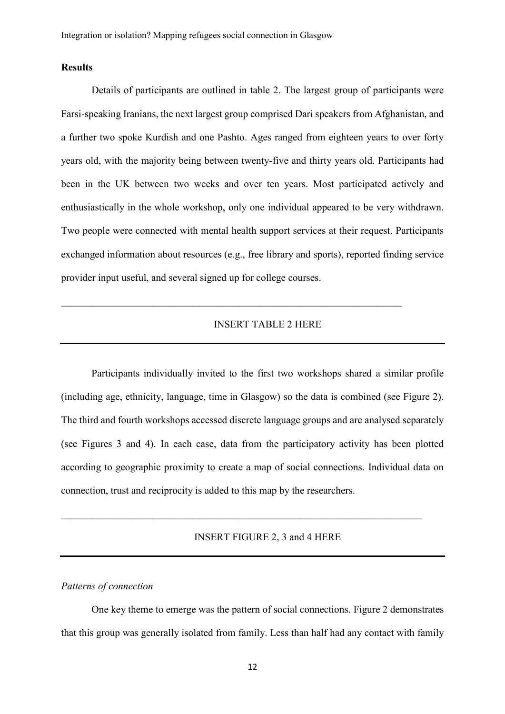# **Results**

Details of participants are outlined in table 2. The largest group of participants were Farsi-speaking Iranians, the next largest group comprised Dari speakers from Afghanistan, and a further two spoke Kurdish and one Pashto. Ages ranged from eighteen years to over forty years old, with the majority being between twenty-five and thirty years old. Participants had been in the UK between two weeks and over ten years. Most participated actively and enthusiastically in the whole workshop, only one individual appeared to be very withdrawn. Two people were connected with mental health support services at their request. Participants exchanged information about resources (e.g., free library and sports), reported finding service provider input useful, and several signed up for college courses.

# INSERT TABLE 2 HERE

 $\mathcal{L}_\text{max} = \mathcal{L}_\text{max} = \mathcal{L}_\text{max} = \mathcal{L}_\text{max} = \mathcal{L}_\text{max} = \mathcal{L}_\text{max} = \mathcal{L}_\text{max} = \mathcal{L}_\text{max} = \mathcal{L}_\text{max} = \mathcal{L}_\text{max} = \mathcal{L}_\text{max} = \mathcal{L}_\text{max} = \mathcal{L}_\text{max} = \mathcal{L}_\text{max} = \mathcal{L}_\text{max} = \mathcal{L}_\text{max} = \mathcal{L}_\text{max} = \mathcal{L}_\text{max} = \mathcal{$ 

Participants individually invited to the first two workshops shared a similar profile (including age, ethnicity, language, time in Glasgow) so the data is combined (see Figure 2). The third and fourth workshops accessed discrete language groups and are analysed separately (see Figures 3 and 4). In each case, data from the participatory activity has been plotted according to geographic proximity to create a map of social connections. Individual data on connection, trust and reciprocity is added to this map by the researchers.

 $\_$  , and the contribution of the contribution of  $\mathcal{L}_\mathcal{A}$  , and the contribution of  $\mathcal{L}_\mathcal{A}$ 

# INSERT FIGURE 2, 3 and 4 HERE

#### *Patterns of connection*

One key theme to emerge was the pattern of social connections. Figure 2 demonstrates that this group was generally isolated from family. Less than half had any contact with family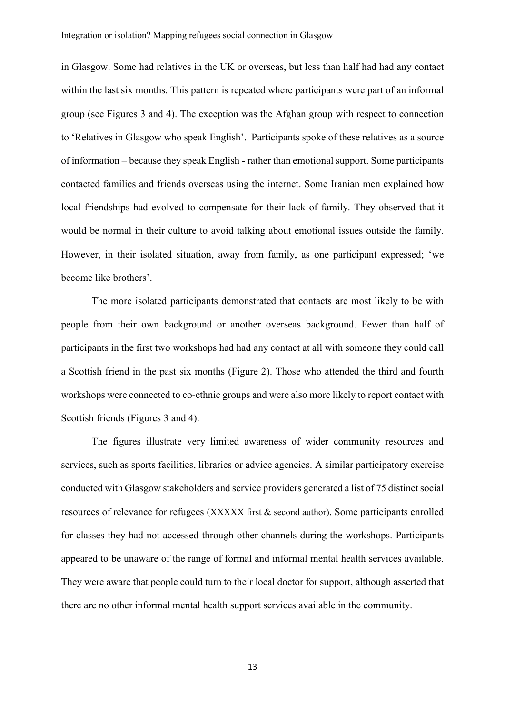in Glasgow. Some had relatives in the UK or overseas, but less than half had had any contact within the last six months. This pattern is repeated where participants were part of an informal group (see Figures 3 and 4). The exception was the Afghan group with respect to connection to 'Relatives in Glasgow who speak English'. Participants spoke of these relatives as a source of information – because they speak English - rather than emotional support. Some participants contacted families and friends overseas using the internet. Some Iranian men explained how local friendships had evolved to compensate for their lack of family. They observed that it would be normal in their culture to avoid talking about emotional issues outside the family. However, in their isolated situation, away from family, as one participant expressed; 'we become like brothers'.

The more isolated participants demonstrated that contacts are most likely to be with people from their own background or another overseas background. Fewer than half of participants in the first two workshops had had any contact at all with someone they could call a Scottish friend in the past six months (Figure 2). Those who attended the third and fourth workshops were connected to co-ethnic groups and were also more likely to report contact with Scottish friends (Figures 3 and 4).

The figures illustrate very limited awareness of wider community resources and services, such as sports facilities, libraries or advice agencies. A similar participatory exercise conducted with Glasgow stakeholders and service providers generated a list of 75 distinct social resources of relevance for refugees (XXXXX first & second author). Some participants enrolled for classes they had not accessed through other channels during the workshops. Participants appeared to be unaware of the range of formal and informal mental health services available. They were aware that people could turn to their local doctor for support, although asserted that there are no other informal mental health support services available in the community.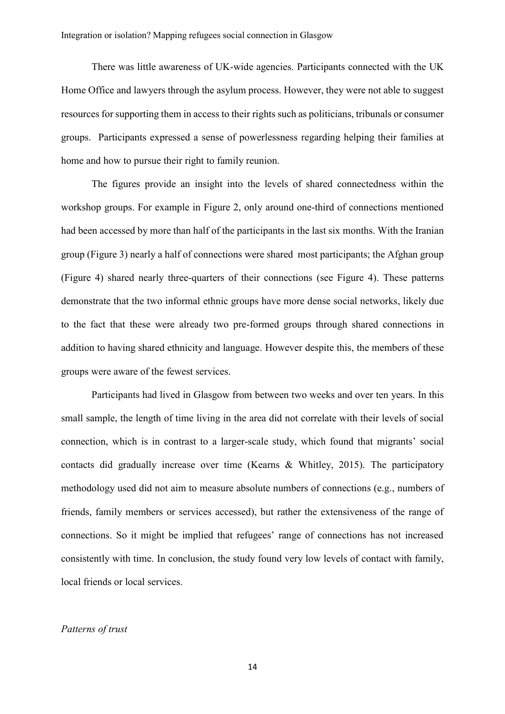There was little awareness of UK-wide agencies. Participants connected with the UK Home Office and lawyers through the asylum process. However, they were not able to suggest resources for supporting them in access to their rights such as politicians, tribunals or consumer groups. Participants expressed a sense of powerlessness regarding helping their families at home and how to pursue their right to family reunion.

The figures provide an insight into the levels of shared connectedness within the workshop groups. For example in Figure 2, only around one-third of connections mentioned had been accessed by more than half of the participants in the last six months. With the Iranian group (Figure 3) nearly a half of connections were shared most participants; the Afghan group (Figure 4) shared nearly three-quarters of their connections (see Figure 4). These patterns demonstrate that the two informal ethnic groups have more dense social networks, likely due to the fact that these were already two pre-formed groups through shared connections in addition to having shared ethnicity and language. However despite this, the members of these groups were aware of the fewest services.

Participants had lived in Glasgow from between two weeks and over ten years. In this small sample, the length of time living in the area did not correlate with their levels of social connection, which is in contrast to a larger-scale study, which found that migrants' social contacts did gradually increase over time (Kearns & Whitley, 2015). The participatory methodology used did not aim to measure absolute numbers of connections (e.g., numbers of friends, family members or services accessed), but rather the extensiveness of the range of connections. So it might be implied that refugees' range of connections has not increased consistently with time. In conclusion, the study found very low levels of contact with family, local friends or local services.

# *Patterns of trust*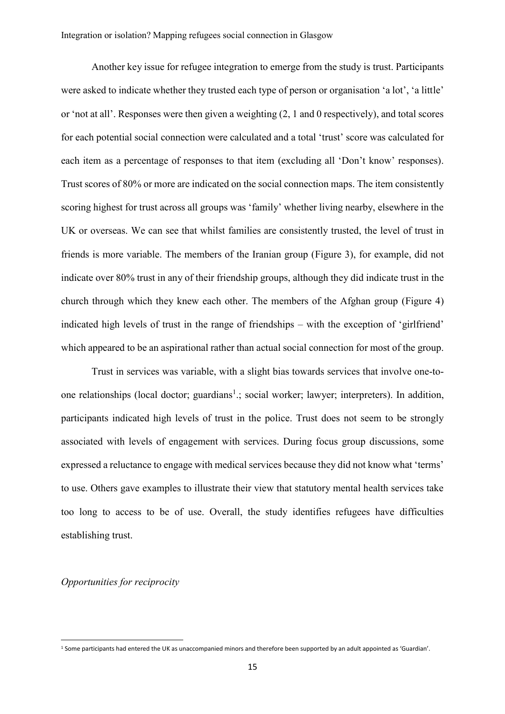Another key issue for refugee integration to emerge from the study is trust. Participants were asked to indicate whether they trusted each type of person or organisation 'a lot', 'a little' or 'not at all'. Responses were then given a weighting (2, 1 and 0 respectively), and total scores for each potential social connection were calculated and a total 'trust' score was calculated for each item as a percentage of responses to that item (excluding all 'Don't know' responses). Trust scores of 80% or more are indicated on the social connection maps. The item consistently scoring highest for trust across all groups was 'family' whether living nearby, elsewhere in the UK or overseas. We can see that whilst families are consistently trusted, the level of trust in friends is more variable. The members of the Iranian group (Figure 3), for example, did not indicate over 80% trust in any of their friendship groups, although they did indicate trust in the church through which they knew each other. The members of the Afghan group (Figure 4) indicated high levels of trust in the range of friendships – with the exception of 'girlfriend' which appeared to be an aspirational rather than actual social connection for most of the group.

Trust in services was variable, with a slight bias towards services that involve one-toone relationships (local doctor; guardians<sup>1</sup>.; social worker; lawyer; interpreters). In addition, participants indicated high levels of trust in the police. Trust does not seem to be strongly associated with levels of engagement with services. During focus group discussions, some expressed a reluctance to engage with medical services because they did not know what 'terms' to use. Others gave examples to illustrate their view that statutory mental health services take too long to access to be of use. Overall, the study identifies refugees have difficulties establishing trust.

# *Opportunities for reciprocity*

 $\overline{a}$ 

<sup>&</sup>lt;sup>1</sup> Some participants had entered the UK as unaccompanied minors and therefore been supported by an adult appointed as 'Guardian'.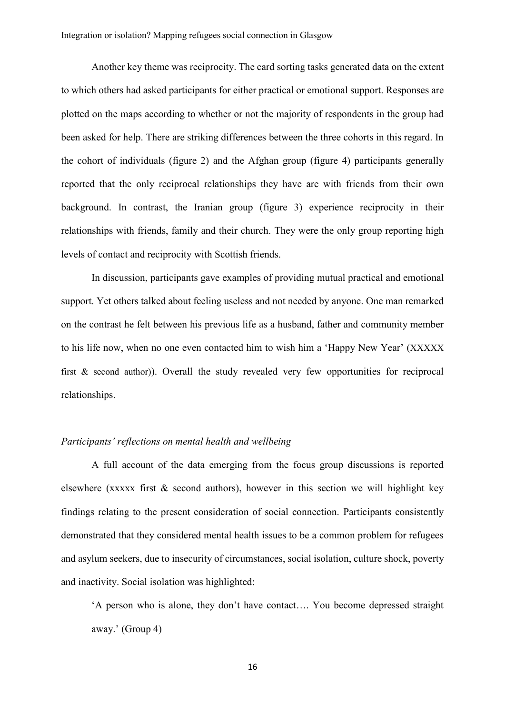Another key theme was reciprocity. The card sorting tasks generated data on the extent to which others had asked participants for either practical or emotional support. Responses are plotted on the maps according to whether or not the majority of respondents in the group had been asked for help. There are striking differences between the three cohorts in this regard. In the cohort of individuals (figure 2) and the Afghan group (figure 4) participants generally reported that the only reciprocal relationships they have are with friends from their own background. In contrast, the Iranian group (figure 3) experience reciprocity in their relationships with friends, family and their church. They were the only group reporting high levels of contact and reciprocity with Scottish friends.

In discussion, participants gave examples of providing mutual practical and emotional support. Yet others talked about feeling useless and not needed by anyone. One man remarked on the contrast he felt between his previous life as a husband, father and community member to his life now, when no one even contacted him to wish him a 'Happy New Year' (XXXXX first & second author)). Overall the study revealed very few opportunities for reciprocal relationships.

# *Participants' reflections on mental health and wellbeing*

A full account of the data emerging from the focus group discussions is reported elsewhere (xxxxx first  $\&$  second authors), however in this section we will highlight key findings relating to the present consideration of social connection. Participants consistently demonstrated that they considered mental health issues to be a common problem for refugees and asylum seekers, due to insecurity of circumstances, social isolation, culture shock, poverty and inactivity. Social isolation was highlighted:

'A person who is alone, they don't have contact…. You become depressed straight away.' (Group 4)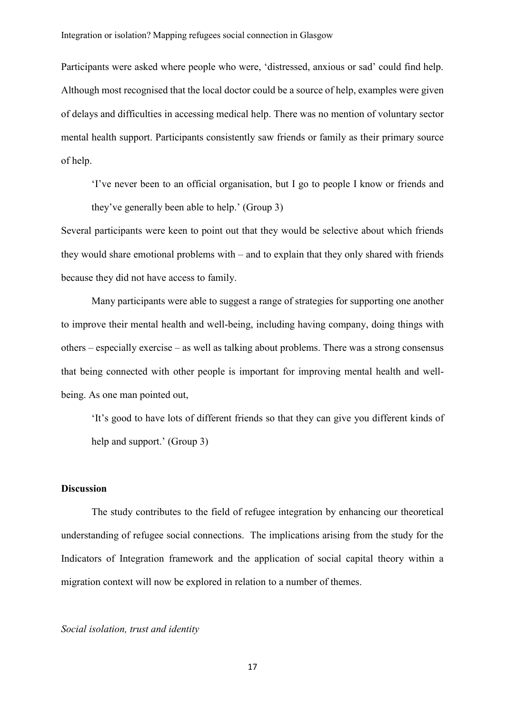Participants were asked where people who were, 'distressed, anxious or sad' could find help. Although most recognised that the local doctor could be a source of help, examples were given of delays and difficulties in accessing medical help. There was no mention of voluntary sector mental health support. Participants consistently saw friends or family as their primary source of help.

'I've never been to an official organisation, but I go to people I know or friends and they've generally been able to help.' (Group 3)

Several participants were keen to point out that they would be selective about which friends they would share emotional problems with – and to explain that they only shared with friends because they did not have access to family.

Many participants were able to suggest a range of strategies for supporting one another to improve their mental health and well-being, including having company, doing things with others – especially exercise – as well as talking about problems. There was a strong consensus that being connected with other people is important for improving mental health and wellbeing. As one man pointed out,

'It's good to have lots of different friends so that they can give you different kinds of help and support.' (Group 3)

## **Discussion**

The study contributes to the field of refugee integration by enhancing our theoretical understanding of refugee social connections. The implications arising from the study for the Indicators of Integration framework and the application of social capital theory within a migration context will now be explored in relation to a number of themes.

#### *Social isolation, trust and identity*

17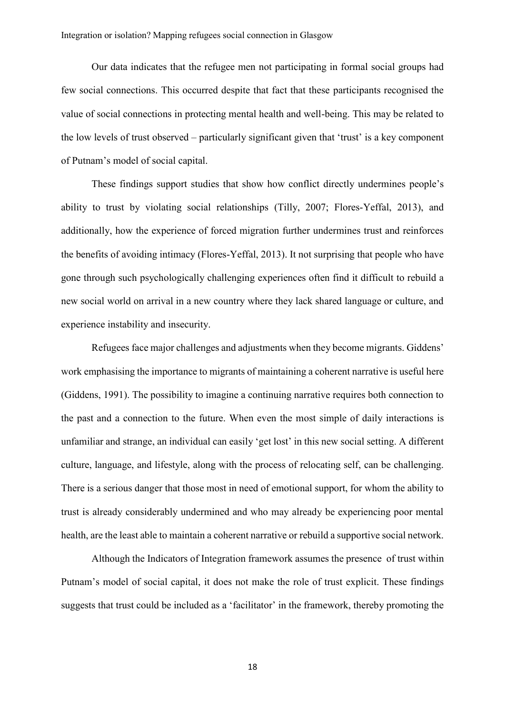Our data indicates that the refugee men not participating in formal social groups had few social connections. This occurred despite that fact that these participants recognised the value of social connections in protecting mental health and well-being. This may be related to the low levels of trust observed – particularly significant given that 'trust' is a key component of Putnam's model of social capital.

These findings support studies that show how conflict directly undermines people's ability to trust by violating social relationships (Tilly, 2007; Flores-Yeffal, 2013), and additionally, how the experience of forced migration further undermines trust and reinforces the benefits of avoiding intimacy (Flores-Yeffal, 2013). It not surprising that people who have gone through such psychologically challenging experiences often find it difficult to rebuild a new social world on arrival in a new country where they lack shared language or culture, and experience instability and insecurity.

Refugees face major challenges and adjustments when they become migrants. Giddens' work emphasising the importance to migrants of maintaining a coherent narrative is useful here (Giddens, 1991). The possibility to imagine a continuing narrative requires both connection to the past and a connection to the future. When even the most simple of daily interactions is unfamiliar and strange, an individual can easily 'get lost' in this new social setting. A different culture, language, and lifestyle, along with the process of relocating self, can be challenging. There is a serious danger that those most in need of emotional support, for whom the ability to trust is already considerably undermined and who may already be experiencing poor mental health, are the least able to maintain a coherent narrative or rebuild a supportive social network.

Although the Indicators of Integration framework assumes the presence of trust within Putnam's model of social capital, it does not make the role of trust explicit. These findings suggests that trust could be included as a 'facilitator' in the framework, thereby promoting the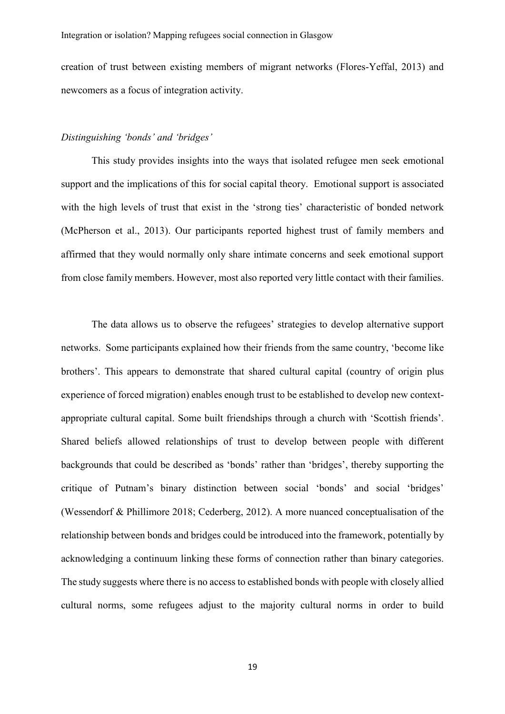creation of trust between existing members of migrant networks (Flores-Yeffal, 2013) and newcomers as a focus of integration activity.

## *Distinguishing 'bonds' and 'bridges'*

This study provides insights into the ways that isolated refugee men seek emotional support and the implications of this for social capital theory. Emotional support is associated with the high levels of trust that exist in the 'strong ties' characteristic of bonded network (McPherson et al., 2013). Our participants reported highest trust of family members and affirmed that they would normally only share intimate concerns and seek emotional support from close family members. However, most also reported very little contact with their families.

The data allows us to observe the refugees' strategies to develop alternative support networks. Some participants explained how their friends from the same country, 'become like brothers'. This appears to demonstrate that shared cultural capital (country of origin plus experience of forced migration) enables enough trust to be established to develop new contextappropriate cultural capital. Some built friendships through a church with 'Scottish friends'. Shared beliefs allowed relationships of trust to develop between people with different backgrounds that could be described as 'bonds' rather than 'bridges', thereby supporting the critique of Putnam's binary distinction between social 'bonds' and social 'bridges' (Wessendorf & Phillimore 2018; Cederberg, 2012). A more nuanced conceptualisation of the relationship between bonds and bridges could be introduced into the framework, potentially by acknowledging a continuum linking these forms of connection rather than binary categories. The study suggests where there is no access to established bonds with people with closely allied cultural norms, some refugees adjust to the majority cultural norms in order to build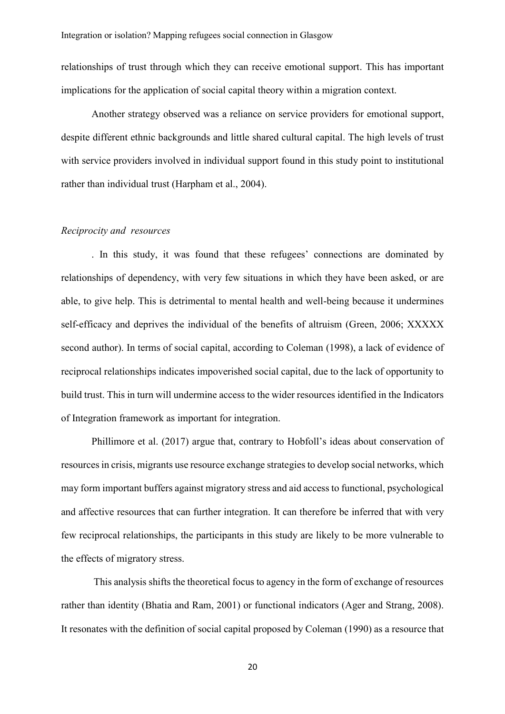relationships of trust through which they can receive emotional support. This has important implications for the application of social capital theory within a migration context.

Another strategy observed was a reliance on service providers for emotional support, despite different ethnic backgrounds and little shared cultural capital. The high levels of trust with service providers involved in individual support found in this study point to institutional rather than individual trust (Harpham et al., 2004).

## *Reciprocity and resources*

. In this study, it was found that these refugees' connections are dominated by relationships of dependency, with very few situations in which they have been asked, or are able, to give help. This is detrimental to mental health and well-being because it undermines self-efficacy and deprives the individual of the benefits of altruism (Green, 2006; XXXXX second author). In terms of social capital, according to Coleman (1998), a lack of evidence of reciprocal relationships indicates impoverished social capital, due to the lack of opportunity to build trust. This in turn will undermine access to the wider resources identified in the Indicators of Integration framework as important for integration.

Phillimore et al. (2017) argue that, contrary to Hobfoll's ideas about conservation of resources in crisis, migrants use resource exchange strategies to develop social networks, which may form important buffers against migratory stress and aid access to functional, psychological and affective resources that can further integration. It can therefore be inferred that with very few reciprocal relationships, the participants in this study are likely to be more vulnerable to the effects of migratory stress.

This analysis shifts the theoretical focus to agency in the form of exchange of resources rather than identity (Bhatia and Ram, 2001) or functional indicators (Ager and Strang, 2008). It resonates with the definition of social capital proposed by Coleman (1990) as a resource that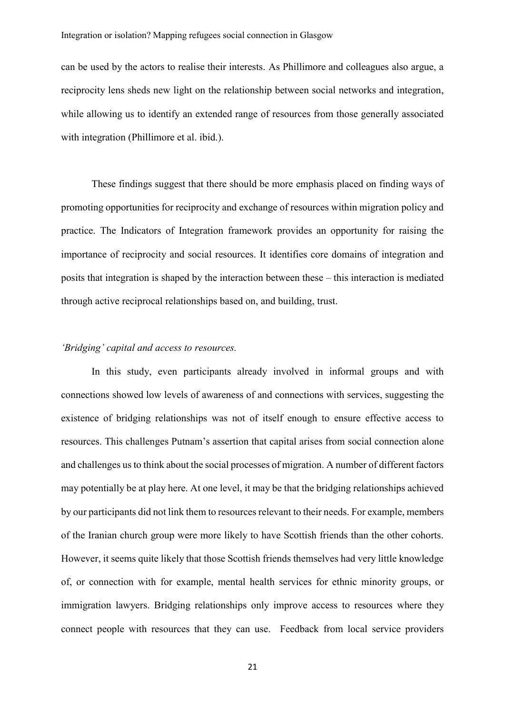can be used by the actors to realise their interests. As Phillimore and colleagues also argue, a reciprocity lens sheds new light on the relationship between social networks and integration, while allowing us to identify an extended range of resources from those generally associated with integration (Phillimore et al. ibid.).

These findings suggest that there should be more emphasis placed on finding ways of promoting opportunities for reciprocity and exchange of resources within migration policy and practice. The Indicators of Integration framework provides an opportunity for raising the importance of reciprocity and social resources. It identifies core domains of integration and posits that integration is shaped by the interaction between these – this interaction is mediated through active reciprocal relationships based on, and building, trust.

# *'Bridging' capital and access to resources.*

In this study, even participants already involved in informal groups and with connections showed low levels of awareness of and connections with services, suggesting the existence of bridging relationships was not of itself enough to ensure effective access to resources. This challenges Putnam's assertion that capital arises from social connection alone and challenges us to think about the social processes of migration. A number of different factors may potentially be at play here. At one level, it may be that the bridging relationships achieved by our participants did not link them to resources relevant to their needs. For example, members of the Iranian church group were more likely to have Scottish friends than the other cohorts. However, it seems quite likely that those Scottish friends themselves had very little knowledge of, or connection with for example, mental health services for ethnic minority groups, or immigration lawyers. Bridging relationships only improve access to resources where they connect people with resources that they can use. Feedback from local service providers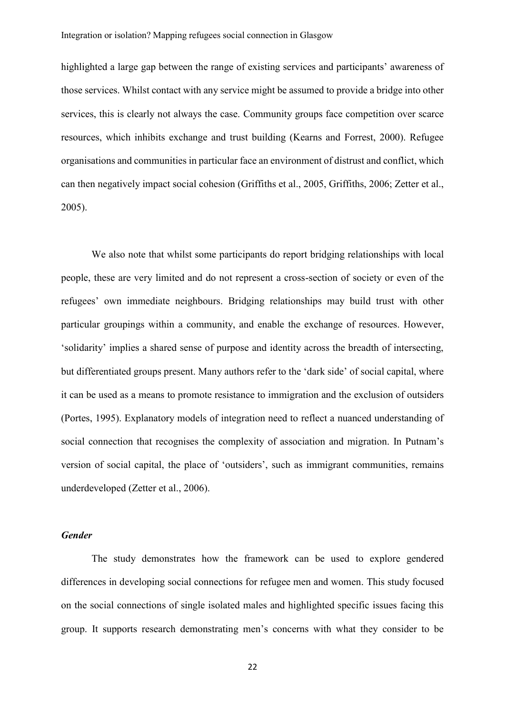highlighted a large gap between the range of existing services and participants' awareness of those services. Whilst contact with any service might be assumed to provide a bridge into other services, this is clearly not always the case. Community groups face competition over scarce resources, which inhibits exchange and trust building (Kearns and Forrest, 2000). Refugee organisations and communities in particular face an environment of distrust and conflict, which can then negatively impact social cohesion (Griffiths et al., 2005, Griffiths, 2006; Zetter et al., 2005).

We also note that whilst some participants do report bridging relationships with local people, these are very limited and do not represent a cross-section of society or even of the refugees' own immediate neighbours. Bridging relationships may build trust with other particular groupings within a community, and enable the exchange of resources. However, 'solidarity' implies a shared sense of purpose and identity across the breadth of intersecting, but differentiated groups present. Many authors refer to the 'dark side' of social capital, where it can be used as a means to promote resistance to immigration and the exclusion of outsiders (Portes, 1995). Explanatory models of integration need to reflect a nuanced understanding of social connection that recognises the complexity of association and migration. In Putnam's version of social capital, the place of 'outsiders', such as immigrant communities, remains underdeveloped (Zetter et al., 2006).

# *Gender*

The study demonstrates how the framework can be used to explore gendered differences in developing social connections for refugee men and women. This study focused on the social connections of single isolated males and highlighted specific issues facing this group. It supports research demonstrating men's concerns with what they consider to be

22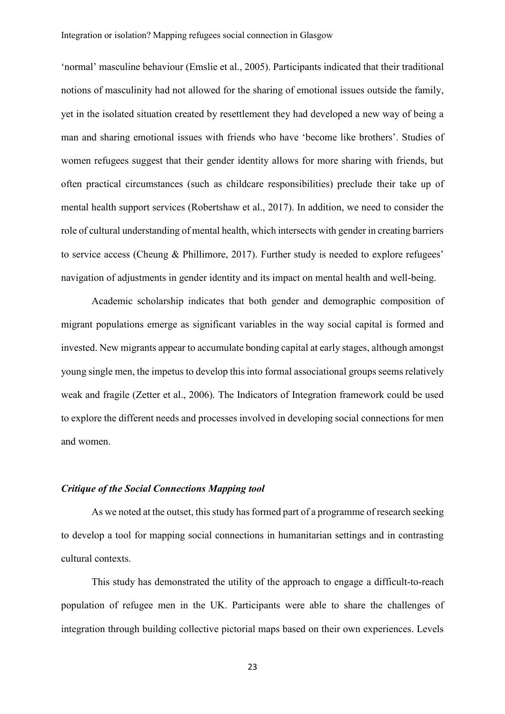'normal' masculine behaviour (Emslie et al., 2005). Participants indicated that their traditional notions of masculinity had not allowed for the sharing of emotional issues outside the family, yet in the isolated situation created by resettlement they had developed a new way of being a man and sharing emotional issues with friends who have 'become like brothers'. Studies of women refugees suggest that their gender identity allows for more sharing with friends, but often practical circumstances (such as childcare responsibilities) preclude their take up of mental health support services (Robertshaw et al., 2017). In addition, we need to consider the role of cultural understanding of mental health, which intersects with gender in creating barriers to service access (Cheung & Phillimore, 2017). Further study is needed to explore refugees' navigation of adjustments in gender identity and its impact on mental health and well-being.

Academic scholarship indicates that both gender and demographic composition of migrant populations emerge as significant variables in the way social capital is formed and invested. New migrants appear to accumulate bonding capital at early stages, although amongst young single men, the impetus to develop this into formal associational groups seems relatively weak and fragile (Zetter et al., 2006). The Indicators of Integration framework could be used to explore the different needs and processes involved in developing social connections for men and women.

# *Critique of the Social Connections Mapping tool*

As we noted at the outset, this study has formed part of a programme of research seeking to develop a tool for mapping social connections in humanitarian settings and in contrasting cultural contexts.

This study has demonstrated the utility of the approach to engage a difficult-to-reach population of refugee men in the UK. Participants were able to share the challenges of integration through building collective pictorial maps based on their own experiences. Levels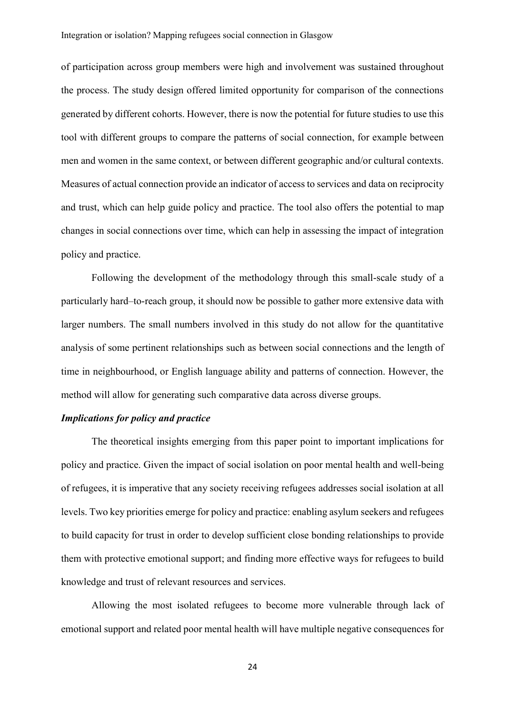of participation across group members were high and involvement was sustained throughout the process. The study design offered limited opportunity for comparison of the connections generated by different cohorts. However, there is now the potential for future studies to use this tool with different groups to compare the patterns of social connection, for example between men and women in the same context, or between different geographic and/or cultural contexts. Measures of actual connection provide an indicator of access to services and data on reciprocity and trust, which can help guide policy and practice. The tool also offers the potential to map changes in social connections over time, which can help in assessing the impact of integration policy and practice.

Following the development of the methodology through this small-scale study of a particularly hard–to-reach group, it should now be possible to gather more extensive data with larger numbers. The small numbers involved in this study do not allow for the quantitative analysis of some pertinent relationships such as between social connections and the length of time in neighbourhood, or English language ability and patterns of connection. However, the method will allow for generating such comparative data across diverse groups.

# *Implications for policy and practice*

The theoretical insights emerging from this paper point to important implications for policy and practice. Given the impact of social isolation on poor mental health and well-being of refugees, it is imperative that any society receiving refugees addresses social isolation at all levels. Two key priorities emerge for policy and practice: enabling asylum seekers and refugees to build capacity for trust in order to develop sufficient close bonding relationships to provide them with protective emotional support; and finding more effective ways for refugees to build knowledge and trust of relevant resources and services.

Allowing the most isolated refugees to become more vulnerable through lack of emotional support and related poor mental health will have multiple negative consequences for

24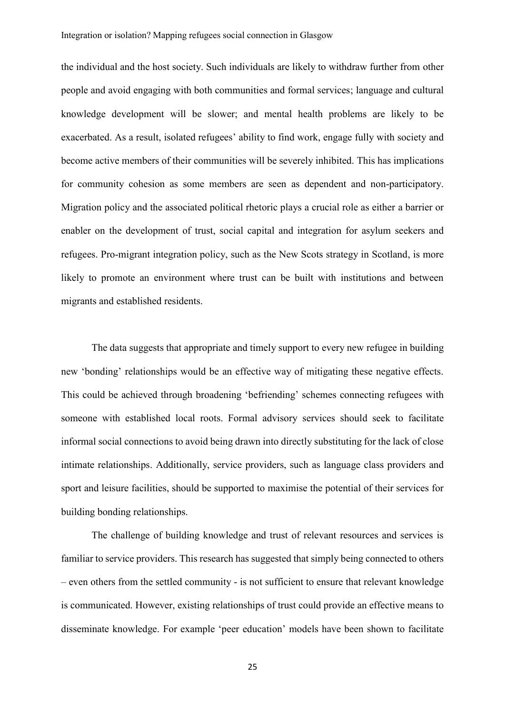the individual and the host society. Such individuals are likely to withdraw further from other people and avoid engaging with both communities and formal services; language and cultural knowledge development will be slower; and mental health problems are likely to be exacerbated. As a result, isolated refugees' ability to find work, engage fully with society and become active members of their communities will be severely inhibited. This has implications for community cohesion as some members are seen as dependent and non-participatory. Migration policy and the associated political rhetoric plays a crucial role as either a barrier or enabler on the development of trust, social capital and integration for asylum seekers and refugees. Pro-migrant integration policy, such as the New Scots strategy in Scotland, is more likely to promote an environment where trust can be built with institutions and between migrants and established residents.

The data suggests that appropriate and timely support to every new refugee in building new 'bonding' relationships would be an effective way of mitigating these negative effects. This could be achieved through broadening 'befriending' schemes connecting refugees with someone with established local roots. Formal advisory services should seek to facilitate informal social connections to avoid being drawn into directly substituting for the lack of close intimate relationships. Additionally, service providers, such as language class providers and sport and leisure facilities, should be supported to maximise the potential of their services for building bonding relationships.

The challenge of building knowledge and trust of relevant resources and services is familiar to service providers. This research has suggested that simply being connected to others – even others from the settled community - is not sufficient to ensure that relevant knowledge is communicated. However, existing relationships of trust could provide an effective means to disseminate knowledge. For example 'peer education' models have been shown to facilitate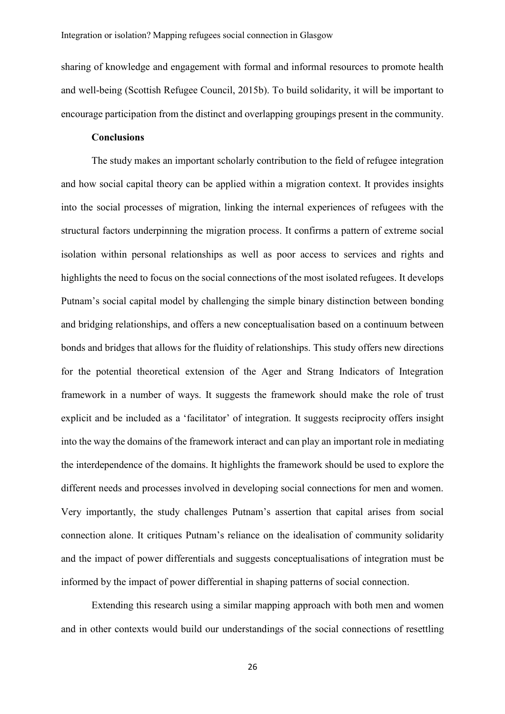sharing of knowledge and engagement with formal and informal resources to promote health and well-being (Scottish Refugee Council, 2015b). To build solidarity, it will be important to encourage participation from the distinct and overlapping groupings present in the community.

# **Conclusions**

The study makes an important scholarly contribution to the field of refugee integration and how social capital theory can be applied within a migration context. It provides insights into the social processes of migration, linking the internal experiences of refugees with the structural factors underpinning the migration process. It confirms a pattern of extreme social isolation within personal relationships as well as poor access to services and rights and highlights the need to focus on the social connections of the most isolated refugees. It develops Putnam's social capital model by challenging the simple binary distinction between bonding and bridging relationships, and offers a new conceptualisation based on a continuum between bonds and bridges that allows for the fluidity of relationships. This study offers new directions for the potential theoretical extension of the Ager and Strang Indicators of Integration framework in a number of ways. It suggests the framework should make the role of trust explicit and be included as a 'facilitator' of integration. It suggests reciprocity offers insight into the way the domains of the framework interact and can play an important role in mediating the interdependence of the domains. It highlights the framework should be used to explore the different needs and processes involved in developing social connections for men and women. Very importantly, the study challenges Putnam's assertion that capital arises from social connection alone. It critiques Putnam's reliance on the idealisation of community solidarity and the impact of power differentials and suggests conceptualisations of integration must be informed by the impact of power differential in shaping patterns of social connection.

Extending this research using a similar mapping approach with both men and women and in other contexts would build our understandings of the social connections of resettling

26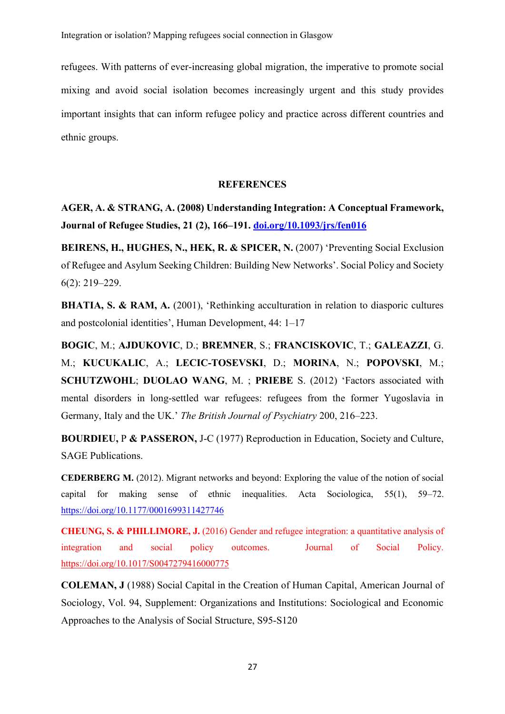refugees. With patterns of ever-increasing global migration, the imperative to promote social mixing and avoid social isolation becomes increasingly urgent and this study provides important insights that can inform refugee policy and practice across different countries and ethnic groups.

# **REFERENCES**

**AGER, A. & STRANG, A. (2008) Understanding Integration: A Conceptual Framework, Journal of Refugee Studies, 21 (2), 166–191. [doi.org/10.1093/jrs/fen016](https://doi.org/10.1093/jrs/fen016)**

**BEIRENS, H., HUGHES, N., HEK, R. & SPICER, N.** (2007) 'Preventing Social Exclusion of Refugee and Asylum Seeking Children: Building New Networks'. Social Policy and Society 6(2): 219–229.

**BHATIA, S. & RAM, A.** (2001), 'Rethinking acculturation in relation to diasporic cultures and postcolonial identities', Human Development, 44: 1–17

**BOGIC**, M.; **AJDUKOVIC**, D.; **BREMNER**, S.; **FRANCISKOVIC**, T.; **GALEAZZI**, G. M.; **KUCUKALIC**, A.; **LECIC-TOSEVSKI**, D.; **MORINA**, N.; **POPOVSKI**, M.; **SCHUTZWOHL**; **DUOLAO WANG**, M. ; **PRIEBE** S. (2012) 'Factors associated with mental disorders in long-settled war refugees: refugees from the former Yugoslavia in Germany, Italy and the UK.' *The British Journal of Psychiatry* 200, 216–223.

**BOURDIEU,** P **& PASSERON,** J-C (1977) Reproduction in Education, Society and Culture, SAGE Publications.

**CEDERBERG M.** (2012). Migrant networks and beyond: Exploring the value of the notion of social capital for making sense of ethnic inequalities. Acta Sociologica, 55(1), 59–72. <https://doi.org/10.1177/0001699311427746>

**CHEUNG, S. & PHILLIMORE, J.** (2016) Gender and refugee integration: a quantitative analysis of integration and social policy outcomes. Journal of Social Policy. <https://doi.org/10.1017/S0047279416000775>

**COLEMAN, J** (1988) Social Capital in the Creation of Human Capital, American Journal of Sociology, Vol. 94, Supplement: Organizations and Institutions: Sociological and Economic Approaches to the Analysis of Social Structure, S95-S120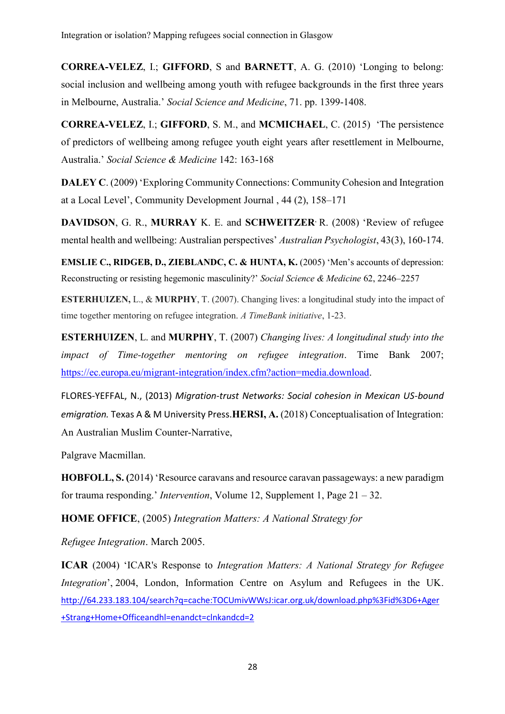**CORREA-VELEZ**, I.; **GIFFORD**, S and **BARNETT**, A. G. (2010) 'Longing to belong: social inclusion and wellbeing among youth with refugee backgrounds in the first three years in Melbourne, Australia.' *Social Science and Medicine*, 71. pp. 1399-1408.

**CORREA-VELEZ**, I.; **GIFFORD**, S. M., and **MCMICHAEL**, C. (2015) 'The persistence of predictors of wellbeing among refugee youth eight years after resettlement in Melbourne, Australia.' *Social Science & Medicine* 142: 163-168

**DALEY C.** (2009) 'Exploring Community Connections: Community Cohesion and Integration at a Local Level', Community Development Journal , 44 (2), 158–171

**DAVIDSON**, G. R., **MURRAY** K. E. and **SCHWEITZER**, R. (2008) 'Review of refugee mental health and wellbeing: Australian perspectives' *Australian Psychologist*, 43(3), 160-174.

**EMSLIE C., RIDGEB, D., ZIEBLANDC, C. & HUNTA, K.** (2005) 'Men's accounts of depression: Reconstructing or resisting hegemonic masculinity?' *Social Science & Medicine* 62, 2246–2257

**ESTERHUIZEN,** L., & **MURPHY**, T. (2007). Changing lives: a longitudinal study into the impact of time together mentoring on refugee integration. *A TimeBank initiative*, 1-23.

**ESTERHUIZEN**, L. and **MURPHY**, T. (2007) *Changing lives: A longitudinal study into the impact of Time-together mentoring on refugee integration*. Time Bank 2007; [https://ec.europa.eu/migrant-integration/index.cfm?action=media.download.](https://ec.europa.eu/migrant-integration/index.cfm?action=media.download)

FLORES-YEFFAL, N., (2013) *Migration-trust Networks: Social cohesion in Mexican US-bound emigration.* Texas A & M University Press.**HERSI, A.** (2018) Conceptualisation of Integration: An Australian Muslim Counter-Narrative,

Palgrave Macmillan.

**HOBFOLL, S. (**2014) 'Resource caravans and resource caravan passageways: a new paradigm for trauma responding.' *Intervention*, Volume 12, Supplement 1, Page 21 – 32.

**HOME OFFICE**, (2005) *Integration Matters: A National Strategy for*

*Refugee Integration*. March 2005.

**ICAR** (2004) 'ICAR's Response to *Integration Matters: A National Strategy for Refugee Integration*', 2004. London, Information Centre on Asylum and Refugees in the UK. [http://64.233.183.104/search?q=cache:TOCUmivWWsJ:icar.org.uk/download.php%3Fid%3D6+Ager](http://64.233.183.104/search?q=cache:TOCUmivWWsJ:icar.org.uk/download.php%3Fid%3D6+Ager+Strang+Home+Officeandhl=enandct=clnkandcd=2) [+Strang+Home+Officeandhl=enandct=clnkandcd=2](http://64.233.183.104/search?q=cache:TOCUmivWWsJ:icar.org.uk/download.php%3Fid%3D6+Ager+Strang+Home+Officeandhl=enandct=clnkandcd=2)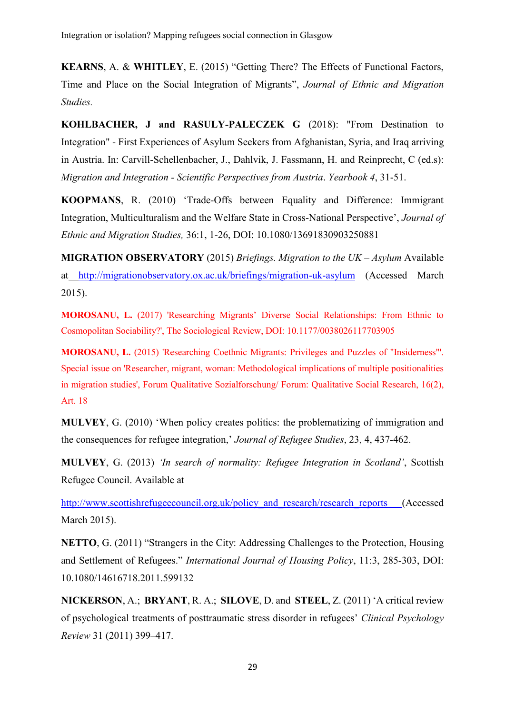**KEARNS**, A. & **WHITLEY**, E. (2015) "Getting There? The Effects of Functional Factors, Time and Place on the Social Integration of Migrants", *Journal of Ethnic and Migration Studies.*

**KOHLBACHER, J and RASULY-PALECZEK G** (2018): "From Destination to Integration" - First Experiences of Asylum Seekers from Afghanistan, Syria, and Iraq arriving in Austria. In: Carvill-Schellenbacher, J., Dahlvik, J. Fassmann, H. and Reinprecht, C (ed.s): *Migration and Integration - Scientific Perspectives from Austria*. *Yearbook 4*, 31-51.

**KOOPMANS**, R. (2010) 'Trade-Offs between Equality and Difference: Immigrant Integration, Multiculturalism and the Welfare State in Cross-National Perspective', *Journal of Ethnic and Migration Studies,* 36:1, 1-26, DOI: 10.1080/13691830903250881

**MIGRATION OBSERVATORY** (2015) *Briefings. Migration to the UK – Asylum* Available at <http://migrationobservatory.ox.ac.uk/briefings/migration-uk-asylum> (Accessed March 2015).

**MOROSANU, L.** (2017) 'Researching Migrants' Diverse Social Relationships: From Ethnic to Cosmopolitan Sociability?', The Sociological Review, DOI: 10.1177/0038026117703905

**MOROSANU, L.** (2015) 'Researching Coethnic Migrants: Privileges and Puzzles of "Insiderness"'. Special issue on 'Researcher, migrant, woman: Methodological implications of multiple positionalities in migration studies', Forum Qualitative Sozialforschung/ Forum: Qualitative Social Research, 16(2), Art. 18

**MULVEY**, G. (2010) 'When policy creates politics: the problematizing of immigration and the consequences for refugee integration,' *Journal of Refugee Studies*, 23, 4, 437-462.

**MULVEY**, G. (2013) *'In search of normality: Refugee Integration in Scotland'*, Scottish Refugee Council. Available at

http://www.scottishrefugeecouncil.org.uk/policy and research/research reports (Accessed March 2015).

**NETTO**, G. (2011) "Strangers in the City: Addressing Challenges to the Protection, Housing and Settlement of Refugees." *International Journal of Housing Policy*, 11:3, 285-303, DOI: 10.1080/14616718.2011.599132

**NICKERSON**, A.; **BRYANT**, R. A.; **SILOVE**, D. and **STEEL**, Z. (2011) 'A critical review of psychological treatments of posttraumatic stress disorder in refugees' *Clinical Psychology Review* 31 (2011) 399–417.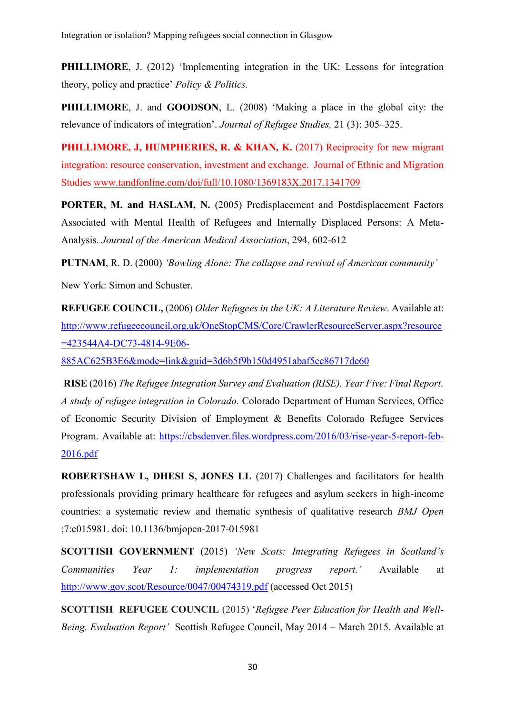**PHILLIMORE**, J. (2012) 'Implementing integration in the UK: Lessons for integration theory, policy and practice' *Policy & Politics.*

**PHILLIMORE**, J. and **GOODSON**, L. (2008) 'Making a place in the global city: the relevance of indicators of integration'. *Journal of Refugee Studies,* 21 (3): 305–325.

**PHILLIMORE, J, HUMPHERIES, R. & KHAN, K.** (2017) Reciprocity for new migrant integration: resource conservation, investment and exchange. Journal of Ethnic and Migration Studies [www.tandfonline.com/doi/full/10.1080/1369183X.2017.1341709](http://www.tandfonline.com/doi/full/10.1080/1369183X.2017.1341709)

**PORTER, M. and HASLAM, N.** (2005) Predisplacement and Postdisplacement Factors Associated with Mental Health of Refugees and Internally Displaced Persons: A Meta-Analysis. *Journal of the American Medical Association*, 294, 602-612

**PUTNAM**, R. D. (2000) *'Bowling Alone: The collapse and revival of American community'* New York: Simon and Schuster.

**REFUGEE COUNCIL,** (2006) *Older Refugees in the UK: A Literature Review*. Available at: [http://www.refugeecouncil.org.uk/OneStopCMS/Core/CrawlerResourceServer.aspx?resource](http://www.refugeecouncil.org.uk/OneStopCMS/Core/CrawlerResourceServer.aspx?resource=423544A4-DC73-4814-9E06-885AC625B3E6&mode=link&guid=3d6b5f9b150d4951abaf5ee86717de60) [=423544A4-DC73-4814-9E06-](http://www.refugeecouncil.org.uk/OneStopCMS/Core/CrawlerResourceServer.aspx?resource=423544A4-DC73-4814-9E06-885AC625B3E6&mode=link&guid=3d6b5f9b150d4951abaf5ee86717de60)

[885AC625B3E6&mode=link&guid=3d6b5f9b150d4951abaf5ee86717de60](http://www.refugeecouncil.org.uk/OneStopCMS/Core/CrawlerResourceServer.aspx?resource=423544A4-DC73-4814-9E06-885AC625B3E6&mode=link&guid=3d6b5f9b150d4951abaf5ee86717de60)

**RISE** (2016) *The Refugee Integration Survey and Evaluation (RISE). Year Five: Final Report. A study of refugee integration in Colorado.* Colorado Department of Human Services, Office of Economic Security Division of Employment & Benefits Colorado Refugee Services Program. Available at: [https://cbsdenver.files.wordpress.com/2016/03/rise-year-5-report-feb-](https://cbsdenver.files.wordpress.com/2016/03/rise-year-5-report-feb-2016.pdf)[2016.pdf](https://cbsdenver.files.wordpress.com/2016/03/rise-year-5-report-feb-2016.pdf)

**ROBERTSHAW L, DHESI S, JONES LL** (2017) Challenges and facilitators for health professionals providing primary healthcare for refugees and asylum seekers in high-income countries: a systematic review and thematic synthesis of qualitative research *BMJ Open* ;7:e015981. doi: 10.1136/bmjopen-2017-015981

**SCOTTISH GOVERNMENT** (2015) *'New Scots: Integrating Refugees in Scotland's Communities Year 1: implementation progress report.'* Available at <http://www.gov.scot/Resource/0047/00474319.pdf> (accessed Oct 2015)

**SCOTTISH REFUGEE COUNCIL** (2015) '*Refugee Peer Education for Health and Well-Being. Evaluation Report'* Scottish Refugee Council, May 2014 – March 2015. Available at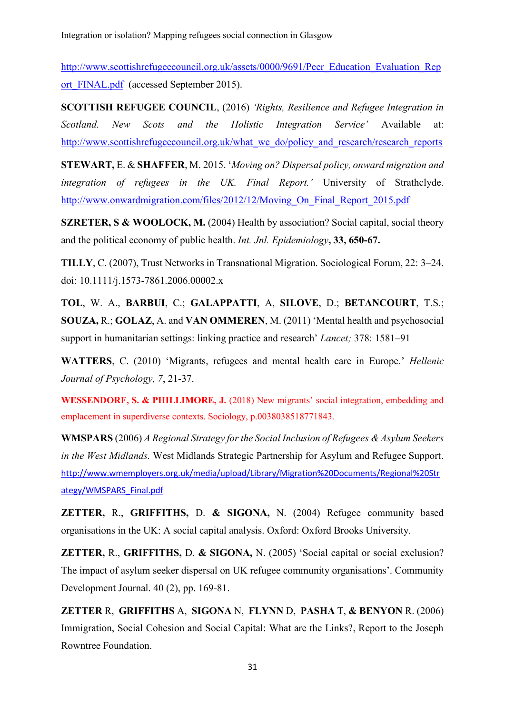[http://www.scottishrefugeecouncil.org.uk/assets/0000/9691/Peer\\_Education\\_Evaluation\\_Rep](http://www.scottishrefugeecouncil.org.uk/assets/0000/9691/Peer_Education_Evaluation_Report_FINAL.pdf) ort FINAL.pdf (accessed September 2015).

**SCOTTISH REFUGEE COUNCIL**, (2016) *'Rights, Resilience and Refugee Integration in Scotland. New Scots and the Holistic Integration Service'* Available at: [http://www.scottishrefugeecouncil.org.uk/what\\_we\\_do/policy\\_and\\_research/research\\_reports](http://www.scottishrefugeecouncil.org.uk/what_we_do/policy_and_research/research_reports)

**STEWART,** E. & **SHAFFER**, M. 2015. '*Moving on? Dispersal policy, onward migration and integration of refugees in the UK. Final Report.'* University of Strathclyde. [http://www.onwardmigration.com/files/2012/12/Moving\\_On\\_Final\\_Report\\_2015.pdf](http://www.onwardmigration.com/files/2012/12/Moving_On_Final_Report_2015.pdf)

**SZRETER, S & WOOLOCK, M.** (2004) Health by association? Social capital, social theory and the political economy of public health. *Int. Jnl. Epidemiology***, 33, 650-67.**

**TILLY**, C. (2007), Trust Networks in Transnational Migration. Sociological Forum, 22: 3–24. doi: 10.1111/j.1573-7861.2006.00002.x

**TOL**, W. A., **BARBUI**, C.; **GALAPPATTI**, A, **SILOVE**, D.; **BETANCOURT**, T.S.; **SOUZA,** R.; **GOLAZ**, A. and **VAN OMMEREN**, M. (2011) 'Mental health and psychosocial support in humanitarian settings: linking practice and research' *Lancet;* 378: 1581–91

**WATTERS**, C. (2010) 'Migrants, refugees and mental health care in Europe.' *Hellenic Journal of Psychology, 7*, 21-37.

**WESSENDORF, S. & PHILLIMORE, J.** (2018) New migrants' social integration, embedding and emplacement in superdiverse contexts. Sociology, p.0038038518771843.

**WMSPARS** (2006) *A Regional Strategy for the Social Inclusion of Refugees & Asylum Seekers in the West Midlands.* West Midlands Strategic Partnership for Asylum and Refugee Support. [http://www.wmemployers.org.uk/media/upload/Library/Migration%20Documents/Regional%20Str](http://www.wmemployers.org.uk/media/upload/Library/Migration%20Documents/Regional%20Strategy/WMSPARS_Final.pdf) [ategy/WMSPARS\\_Final.pdf](http://www.wmemployers.org.uk/media/upload/Library/Migration%20Documents/Regional%20Strategy/WMSPARS_Final.pdf)

**ZETTER,** R., **GRIFFITHS,** D. **& SIGONA,** N. (2004) Refugee community based organisations in the UK: A social capital analysis. Oxford: Oxford Brooks University.

**ZETTER,** R., **GRIFFITHS,** D. **& SIGONA,** N. (2005) 'Social capital or social exclusion? The impact of asylum seeker dispersal on UK refugee community organisations'. Community Development Journal. 40 (2), pp. 169-81.

**ZETTER** R, **GRIFFITHS** A, **SIGONA** N, **FLYNN** D, **PASHA** T, **& BENYON** R. (2006) Immigration, Social Cohesion and Social Capital: What are the Links?, Report to the Joseph Rowntree Foundation.